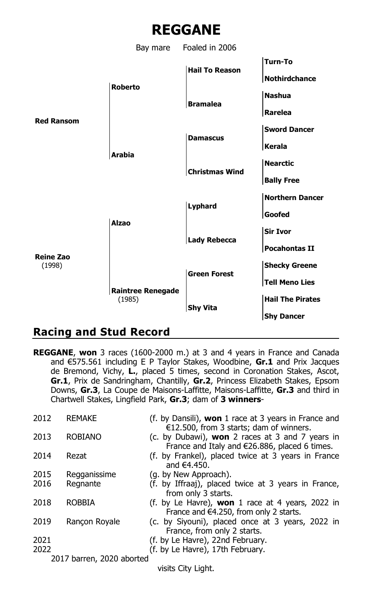



## **Racing and Stud Record**

**REGGANE**, **won** 3 races (1600-2000 m.) at 3 and 4 years in France and Canada and €575.561 including E P Taylor Stakes, Woodbine, **Gr.1** and Prix Jacques de Bremond, Vichy, **L.**, placed 5 times, second in Coronation Stakes, Ascot, **Gr.1**, Prix de Sandringham, Chantilly, **Gr.2**, Princess Elizabeth Stakes, Epsom Downs, **Gr.3**, La Coupe de Maisons-Laffitte, Maisons-Laffitte, **Gr.3** and third in Chartwell Stakes, Lingfield Park, **Gr.3**; dam of **3 winners**-

| 2012                        | <b>REMAKE</b>             | (f. by Dansili), won 1 race at 3 years in France and<br>$E12.500$ , from 3 starts; dam of winners.                |
|-----------------------------|---------------------------|-------------------------------------------------------------------------------------------------------------------|
| 2013                        | <b>ROBIANO</b>            | (c. by Dubawi), <b>won</b> 2 races at 3 and 7 years in<br>France and Italy and $\epsilon$ 26.886, placed 6 times. |
| 2014                        | Rezat                     | (f. by Frankel), placed twice at 3 years in France<br>and $€4.450$ .                                              |
| 2015                        | Regganissime              | (g. by New Approach).                                                                                             |
| 2016                        | Regnante                  | (f. by Iffraaj), placed twice at 3 years in France,<br>from only 3 starts.                                        |
| 2018                        | <b>ROBBIA</b>             | (f. by Le Havre), <b>won</b> 1 race at 4 years, 2022 in<br>France and $64.250$ , from only 2 starts.              |
| 2019                        | Rancon Royale             | (c. by Siyouni), placed once at 3 years, 2022 in<br>France, from only 2 starts.                                   |
| 2021                        |                           | (f. by Le Havre), 22nd February.                                                                                  |
| 2022                        |                           | (f. by Le Havre), 17th February.                                                                                  |
|                             | 2017 barren, 2020 aborted |                                                                                                                   |
| المعانية المستلات المستعددة |                           |                                                                                                                   |

visits City Light.